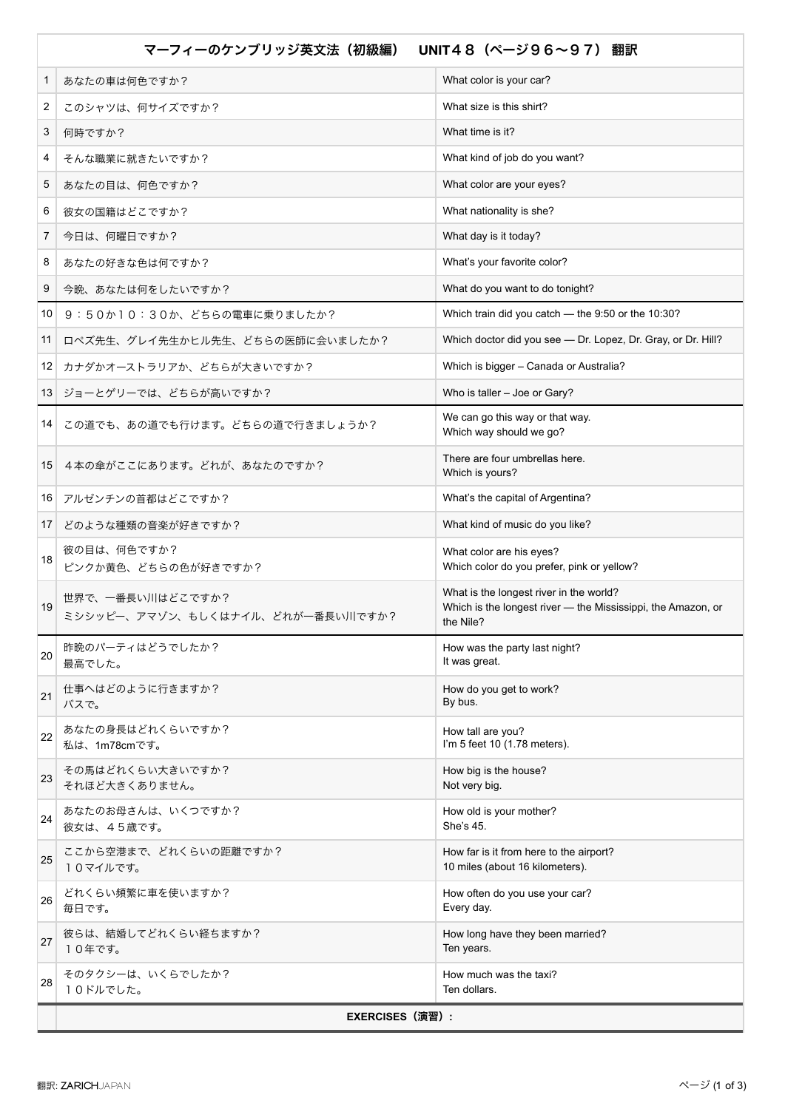| マーフィーのケンブリッジ英文法(初級編)<br>UNIT48 (ページ96~97) 翻訳 |                                                      |                                                                                                                      |  |
|----------------------------------------------|------------------------------------------------------|----------------------------------------------------------------------------------------------------------------------|--|
| 1                                            | あなたの車は何色ですか?                                         | What color is your car?                                                                                              |  |
| 2                                            | このシャツは、何サイズですか?                                      | What size is this shirt?                                                                                             |  |
| 3                                            | 何時ですか?                                               | What time is it?                                                                                                     |  |
| 4                                            | そんな職業に就きたいですか?                                       | What kind of job do you want?                                                                                        |  |
| 5                                            | あなたの目は、何色ですか?                                        | What color are your eyes?                                                                                            |  |
| 6                                            | 彼女の国籍はどこですか?                                         | What nationality is she?                                                                                             |  |
| 7                                            | 今日は、何曜日ですか?                                          | What day is it today?                                                                                                |  |
| 8                                            | あなたの好きな色は何ですか?                                       | What's your favorite color?                                                                                          |  |
| 9                                            | 今晩、あなたは何をしたいですか?                                     | What do you want to do tonight?                                                                                      |  |
| 10                                           | 9:50か10:30か、どちらの電車に乗りましたか?                           | Which train did you catch - the 9:50 or the 10:30?                                                                   |  |
| 11                                           | ロペズ先生、グレイ先生かヒル先生、どちらの医師に会いましたか?                      | Which doctor did you see - Dr. Lopez, Dr. Gray, or Dr. Hill?                                                         |  |
| 12                                           | カナダかオーストラリアか、どちらが大きいですか?                             | Which is bigger - Canada or Australia?                                                                               |  |
| 13                                           | ジョーとゲリーでは、どちらが高いですか?                                 | Who is taller - Joe or Gary?                                                                                         |  |
| 14                                           | この道でも、あの道でも行けます。どちらの道で行きましょうか?                       | We can go this way or that way.<br>Which way should we go?                                                           |  |
| 15                                           | 4本の傘がここにあります。どれが、あなたのですか?                            | There are four umbrellas here.<br>Which is yours?                                                                    |  |
| 16                                           | アルゼンチンの首都はどこですか?                                     | What's the capital of Argentina?                                                                                     |  |
| 17                                           | どのような種類の音楽が好きですか?                                    | What kind of music do you like?                                                                                      |  |
| 18                                           | 彼の目は、何色ですか?<br>ピンクか黄色、どちらの色が好きですか?                   | What color are his eyes?<br>Which color do you prefer, pink or yellow?                                               |  |
| 19                                           | 世界で、一番長い川はどこですか?<br>ミシシッピー、アマゾン、もしくはナイル、どれが一番長い川ですか? | What is the longest river in the world?<br>Which is the longest river - the Mississippi, the Amazon, or<br>the Nile? |  |
| 20                                           | 昨晩のパーティはどうでしたか?<br>最高でした。                            | How was the party last night?<br>It was great.                                                                       |  |
| 21                                           | 仕事へはどのように行きますか?<br>バスで。                              | How do you get to work?<br>By bus.                                                                                   |  |
| 22                                           | あなたの身長はどれくらいですか?<br>私は、1m78cmです。                     | How tall are you?<br>I'm 5 feet 10 (1.78 meters).                                                                    |  |
| 23                                           | その馬はどれくらい大きいですか?<br>それほど大きくありません。                    | How big is the house?<br>Not very big.                                                                               |  |
| 24                                           | あなたのお母さんは、いくつですか?<br>彼女は、45歳です。                      | How old is your mother?<br>She's 45.                                                                                 |  |
| 25                                           | ここから空港まで、どれくらいの距離ですか?<br>10マイルです。                    | How far is it from here to the airport?<br>10 miles (about 16 kilometers).                                           |  |
| 26                                           | どれくらい頻繁に車を使いますか?<br>毎日です。                            | How often do you use your car?<br>Every day.                                                                         |  |
| 27                                           | 彼らは、結婚してどれくらい経ちますか?<br>10年です。                        | How long have they been married?<br>Ten years.                                                                       |  |
| 28                                           | そのタクシーは、いくらでしたか?<br>10ドルでした。                         | How much was the taxi?<br>Ten dollars.                                                                               |  |
|                                              | <b>EXERCISES (演習):</b>                               |                                                                                                                      |  |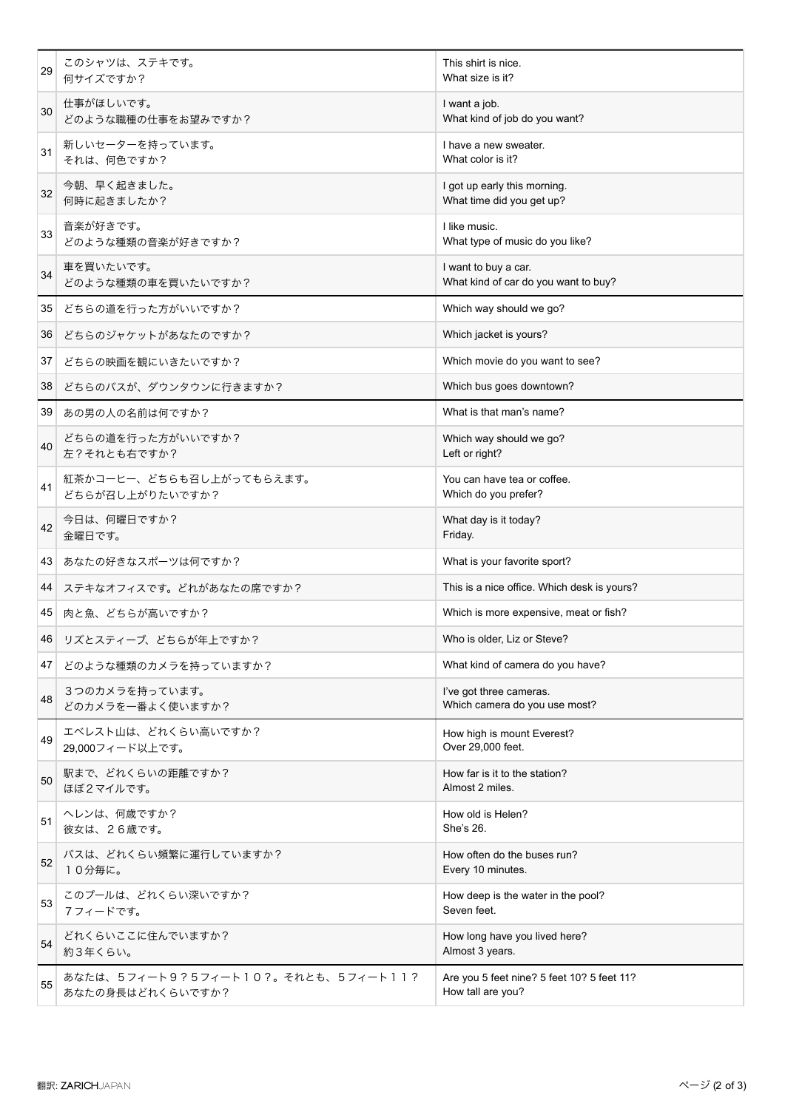| 29 | このシャツは、ステキです。<br>何サイズですか?                              | This shirt is nice.<br>What size is it?                         |
|----|--------------------------------------------------------|-----------------------------------------------------------------|
| 30 | 仕事がほしいです。<br>どのような職種の仕事をお望みですか?                        | I want a job.<br>What kind of job do you want?                  |
| 31 | 新しいセーターを持っています。<br>それは、何色ですか?                          | I have a new sweater.<br>What color is it?                      |
| 32 | 今朝、早く起きました。<br>何時に起きましたか?                              | I got up early this morning.<br>What time did you get up?       |
| 33 | 音楽が好きです。<br>どのような種類の音楽が好きですか?                          | I like music.<br>What type of music do you like?                |
| 34 | 車を買いたいです。<br>どのような種類の車を買いたいですか?                        | I want to buy a car.<br>What kind of car do you want to buy?    |
| 35 | どちらの道を行った方がいいですか?                                      | Which way should we go?                                         |
| 36 | どちらのジャケットがあなたのですか?                                     | Which jacket is yours?                                          |
| 37 | どちらの映画を観にいきたいですか?                                      | Which movie do you want to see?                                 |
| 38 | どちらのバスが、ダウンタウンに行きますか?                                  | Which bus goes downtown?                                        |
| 39 | あの男の人の名前は何ですか?                                         | What is that man's name?                                        |
| 40 | どちらの道を行った方がいいですか?<br>左?それとも右ですか?                       | Which way should we go?<br>Left or right?                       |
| 41 | 紅茶かコーヒー、どちらも召し上がってもらえます。<br>どちらが召し上がりたいですか?            | You can have tea or coffee.<br>Which do you prefer?             |
| 42 | 今日は、何曜日ですか?<br>金曜日です。                                  | What day is it today?<br>Friday.                                |
| 43 | あなたの好きなスポーツは何ですか?                                      | What is your favorite sport?                                    |
| 44 | ステキなオフィスです。どれがあなたの席ですか?                                | This is a nice office. Which desk is yours?                     |
| 45 | 肉と魚、どちらが高いですか?                                         | Which is more expensive, meat or fish?                          |
|    | 46 リズとスティーブ、どちらが年上ですか?                                 | Who is older, Liz or Steve?                                     |
| 47 | どのような種類のカメラを持っていますか?                                   | What kind of camera do you have?                                |
| 48 | 3つのカメラを持っています。<br>どのカメラを一番よく使いますか?                     | I've got three cameras.<br>Which camera do you use most?        |
| 49 | エベレスト山は、どれくらい高いですか?<br>29,000フィード以上です。                 | How high is mount Everest?<br>Over 29,000 feet.                 |
| 50 | 駅まで、どれくらいの距離ですか?<br>ほぼ2マイルです。                          | How far is it to the station?<br>Almost 2 miles.                |
| 51 | ヘレンは、何歳ですか?<br>彼女は、26歳です。                              | How old is Helen?<br>She's 26.                                  |
| 52 | バスは、どれくらい頻繁に運行していますか?<br>10分毎に。                        | How often do the buses run?<br>Every 10 minutes.                |
| 53 | このプールは、どれくらい深いですか?<br>7フィードです。                         | How deep is the water in the pool?<br>Seven feet.               |
| 54 | どれくらいここに住んでいますか?<br>約3年くらい。                            | How long have you lived here?<br>Almost 3 years.                |
| 55 | あなたは、5フィート9?5フィート10?。それとも、5フィート11?<br>あなたの身長はどれくらいですか? | Are you 5 feet nine? 5 feet 10? 5 feet 11?<br>How tall are you? |